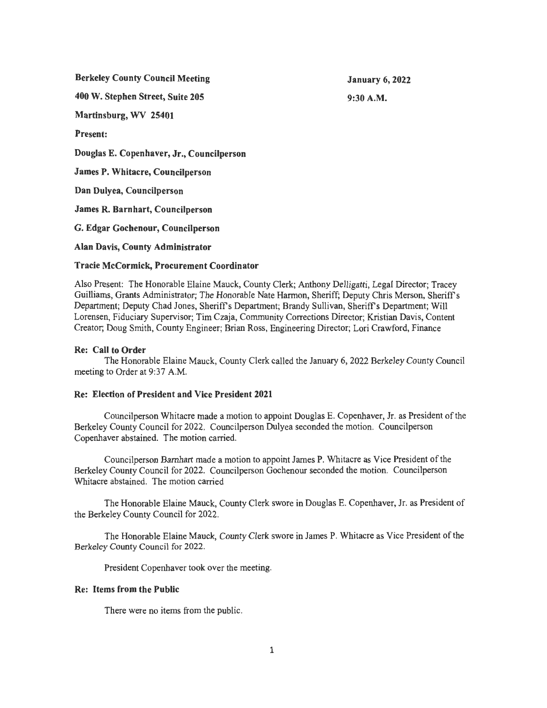**Berkeley County Council Meeting** 

**January 6, 2022 9:30A.M.** 

**400 W. Stephen Street, Suite 205** 

**Martinsburg, WV 25401** 

**Present:** 

**Douglas E. Copenhaver, Jr., Councilperson** 

**James P. Whitacre, Councilperson** 

**Dan Dulyea, Councilperson** 

**James R. Barnhart, Councilperson** 

**G. Edgar Gochenour, Councilperson** 

**Alan Davis, County Administrator** 

## **Tracie McCormick, Procurement Coordinator**

Also Present: The Honorable Elaine Mauck, County Clerk; Anthony Delligatti, Legal Director; Tracey Guilliams, Grants Administrator; The Honorable Nate Harmon, Sheriff; Deputy Chris Merson, Sheriffs Department; Deputy Chad Jones, Sheriff's Department; Brandy Sullivan, Sheriff's Department; Will Lorensen, Fiduciary Supervisor; Tim Czaja, Community Corrections Director; Kristian Davis, Content Creator; Doug Smith, County Engineer; Brian Ross, Engineering Director; Lori Crawford, Finance

# **Re: Call to Order**

The Honorable Elaine Mauck, County Clerk called the January 6, 2022 Berkeley County Council meeting to Order at 9:37 A.M.

# **Re: Election of President and Vice President 2021**

Councilperson Whitacre made a motion to appoint Douglas E. Copenhaver, Jr. as President of the Berkeley County Council for 2022. Councilperson Dulyea seconded the motion. Councilperson Copenhaver abstained. The motion carried.

Councilperson Barnhart made a motion to appoint James P. Whitacre as Vice President of the Berkeley County Council for 2022. Councilperson Gochenour seconded the motion. Councilperson Whitacre abstained. The motion carried

The Honorable Elaine Mauck, County Clerk swore in Douglas E. Copenhaver, Jr. as President of the Berkeley County Council for 2022.

The Honorable Elaine Mauck, County Clerk swore in James P. Whitacre as Vice President of the Berkeley County Council for 2022.

President Copenhaver took over the meeting.

## **Re: Items from the Public**

There were no items from the public.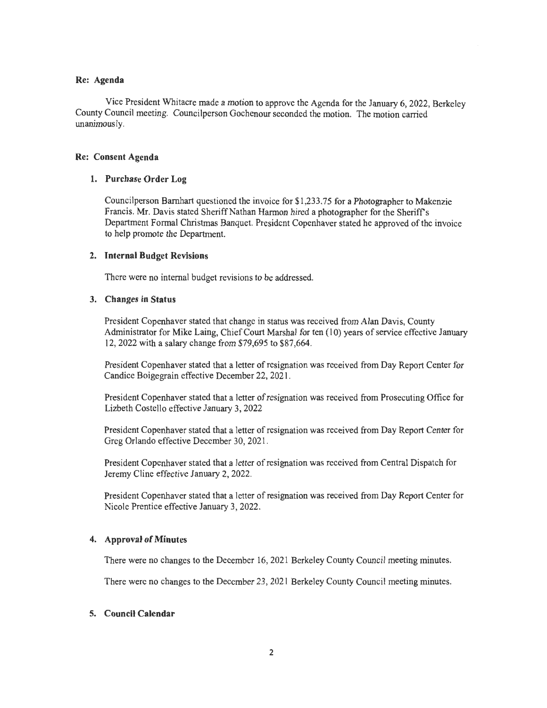#### **Re: Agenda**

Vice President Whitacre made a motion to approve the Agenda for the January 6, 2022, Berkeley County Council meeting. Councilperson Gochenour seconded the motion. The motion carried unanimously.

#### **Re: Consent Agenda**

### **1. Purchase Order Log**

Councilperson Barnhart questioned the invoice for \$1,233.75 for a Photographer to Makenzie Francis. Mr. Davis stated Sheriff Nathan Harmon hired a photographer for the Sheriffs Department Formal Christmas Banquet. President Copenhaver stated he approved of the invoice to help promote the Department.

### **2. Internal Budget Revisions**

There were no internal budget revisions to be addressed.

#### **3. Changes in Status**

President Copenhaver stated that change in status was received from Alan Davis, County Administrator for Mike Laing, Chief Court Marshal for ten (10) years of service effective January 12, 2022 with a salary change from \$79,695 to \$87,664.

President Copenhaver stated that a letter of resignation was received from Day Report Center for Candice Boigegrain effective December 22, 2021 .

President Copenhaver stated that a letter of resignation was received from Prosecuting Office for Lizbeth Costello effective January 3, 2022

President Copenhaver stated that a letter of resignation was received from Day Report Center for Greg Orlando effective December 30, 2021 .

President Copenhaver stated that a letter of resignation was received from Central Dispatch for Jeremy Cline effective January 2, 2022.

President Copenhaver stated that a letter of resignation was received from Day Report Center for Nicole Prentice effective January 3, 2022.

## **4. Approval of Minutes**

There were no changes to the December 16, 2021 Berkeley County Council meeting minutes.

There were no changes to the December 23, 2021 Berkeley County Council meeting minutes.

## **5. Council Calendar**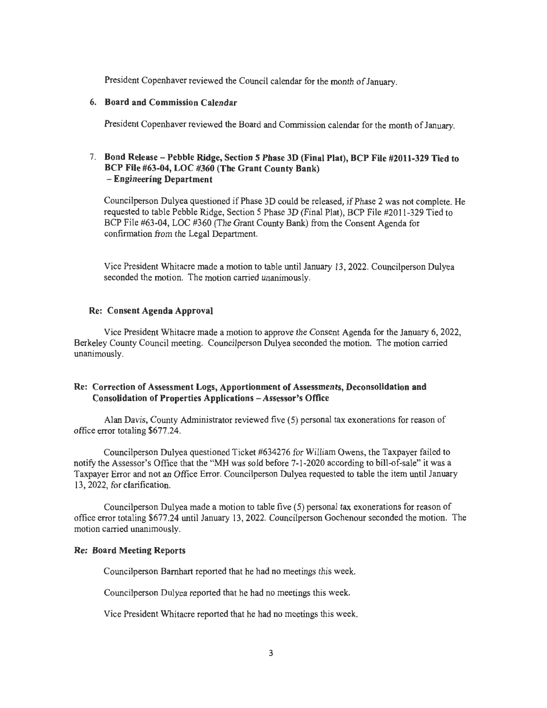President Copenhaver reviewed the Council calendar for the month of January.

#### **6. Board and Commission Calendar**

President Copenhaver reviewed the Board and Commission calendar for the month of January.

## 7. **Bond Release- Pebble Ridge, Section 5 Phase JD (Final Plat), BCP File #2011-329 Tied to BCP File #63-04, LOC #360 (The Grant County Bank)**  - **Engineering Department**

Councilperson Dulyea questioned if Phase 3D could be released, if Phase 2 was not complete. He requested to table Pebble Ridge, Section 5 Phase 3D (Final Plat), BCP File #2011-329 Tied to BCP File #63-04, LOC #360 (The Grant County Bank) from the Consent Agenda for confirmation from the Legal Department.

Vice President Whitacre made a motion to table until January 13, 2022. Councilperson Dulyea seconded the motion. The motion carried unanimously.

#### **Re: Consent Agenda Approval**

Vice President Whitacre made a motion to approve the Consent Agenda for the January 6, 2022, Berkeley County Council meeting. Councilperson Dulyea seconded the motion. The motion carried unanimously.

## **Re: Correction of Assessment Logs, Apportionment of Assessments, Deconsolidation and Consolidation of Properties Applications - Assessor's Office**

Alan Davis, County Administrator reviewed five (5) personal tax exonerations for reason of office error totaling \$677 .24.

Councilperson Dulyea questioned Ticket #634276 for William Owens, the Taxpayer failed to notify the Assessor's Office that the "MH was sold before 7-1-2020 according to bill-of-sale" it was a Taxpayer Error and not an Office Error. Councilperson Dulyea requested to table the item until January 13, 2022, for clarification.

Councilperson Dulyea made a motion to table five (5) personal tax exonerations for reason of office error totaling \$677.24 until January 13, 2022. Councilperson Gochenour seconded the motion. The motion carried unanimously.

#### **Re: Board Meeting Reports**

Councilperson Barnhart reported that he had no meetings this week.

Councilperson Dulyea reported that he had no meetings this week.

Vice President Whitacre reported that he had no meetings this week.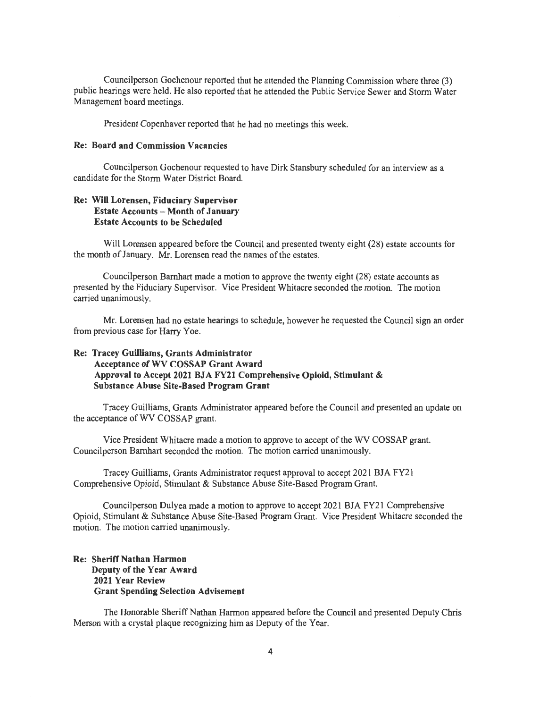Councilperson Gochenour reported that he attended the Planning Commission where three (3) public hearings were held. He also reported that he attended the Public Service Sewer and Storm Water Management board meetings.

President Copenhaver reported that he had no meetings this week.

#### **Re: Board and Commission Vacancies**

Councilperson Gochenour requested to have Dirk Stansbury scheduled for an interview as a candidate for the Storm Water District Board.

# **Re: Will Lorensen, Fiduciary Supervisor Estate Accounts - Month of January Estate Accounts to be Scheduled**

Will Lorensen appeared before the Council and presented twenty eight (28) estate accounts for the month of January. Mr. Lorensen read the names of the estates.

Councilperson Barnhart made a motion to approve the twenty eight (28) estate accounts as presented by the Fiduciary Supervisor. Vice President Whitacre seconded the motion. The motion carried unanimously.

Mr. Lorensen had no estate hearings to schedule, however he requested the Council sign an order from previous case for Harry Yoe.

# **Re: Tracey Guilliams, Grants Administrator Acceptance of WV COSSAP Grant Award Approval to Accept 2021 BJA FY21 Comprehensive Opioid, Stimulant** & **Substance Abuse Site-Based Program Grant**

Tracey Guilliams, Grants Administrator appeared before the Council and presented an update on the acceptance of WV COSSAP grant.

Vice President Whitacre made a motion to approve to accept of the WV COSSAP grant. Councilperson Barnhart seconded the motion. The motion carried unanimously.

Tracey Guilliams, Grants Administrator request approval to accept 2021 BJA FY21 Comprehensive Opioid, Stimulant & Substance Abuse Site-Based Program Grant.

Councilperson Dulyea made a motion to approve to accept 2021 BJA FY21 Comprehensive Opioid, Stimulant & Substance Abuse Site-Based Program Grant. Vice President Whitacre seconded the motion. The motion carried unanimously.

## **Re: Sheriff Nathan Harmon Deputy of the Year Award 2021 Year Review Grant Spending Selection Advisement**

The Honorable Sheriff Nathan Harmon appeared before the Council and presented Deputy Chris Merson with a crystal plaque recognizing him as Deputy of the Year.